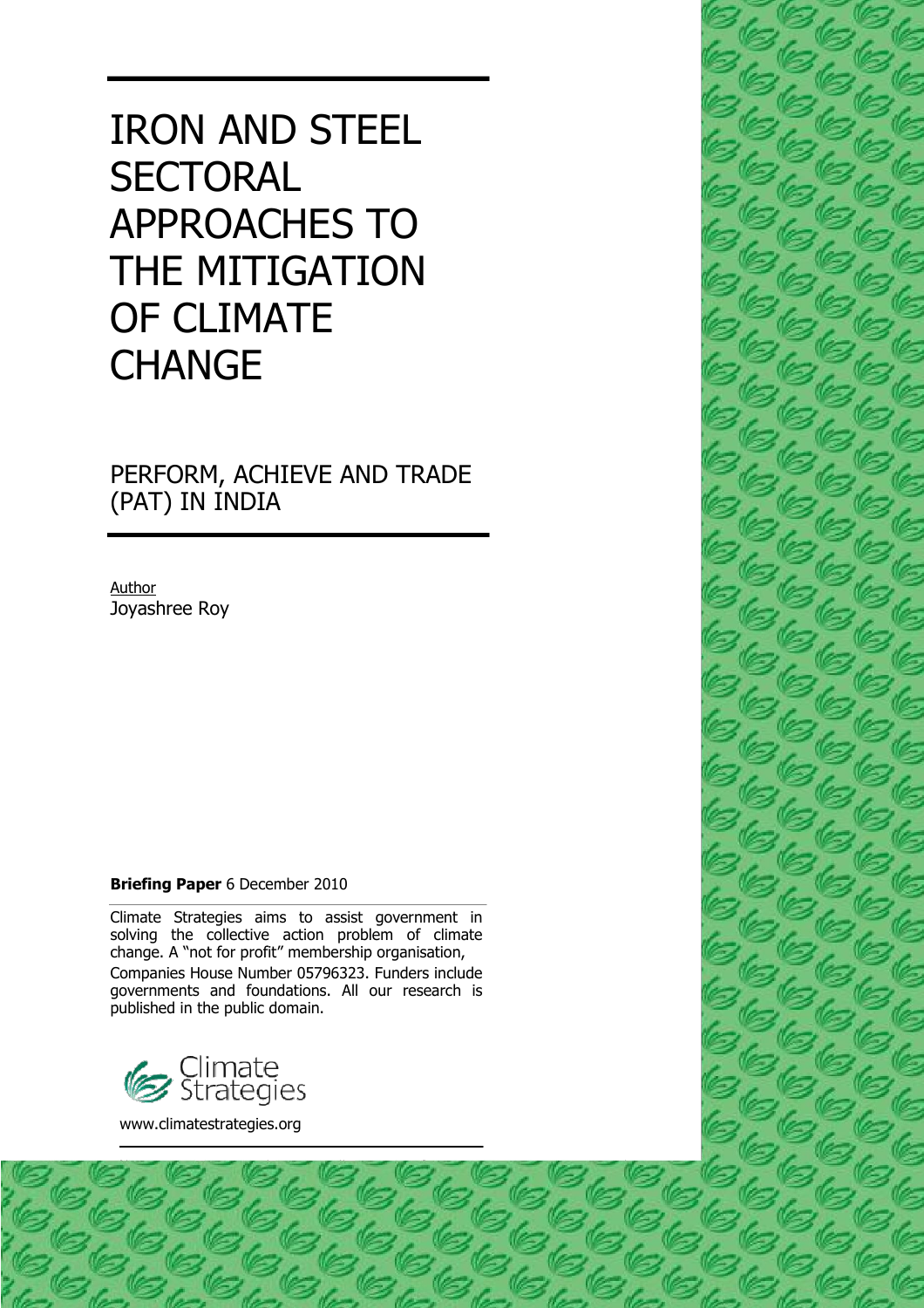# IRON AND STEEL **SECTORAL** APPROACHES TO THE MITIGATION OF CLIMATE **CHANGE**

PERFORM, ACHIEVE AND TRADE (PAT) IN INDIA

Author Joyashree Roy

## **Briefing Paper** 6 December 2010

Climate Strategies aims to assist government in solving the collective action problem of climate change. A "not for profit" membership organisation, Companies House Number 05796323. Funders include governments and foundations. All our research is published in the public domain.

1



www.climatestrategies.org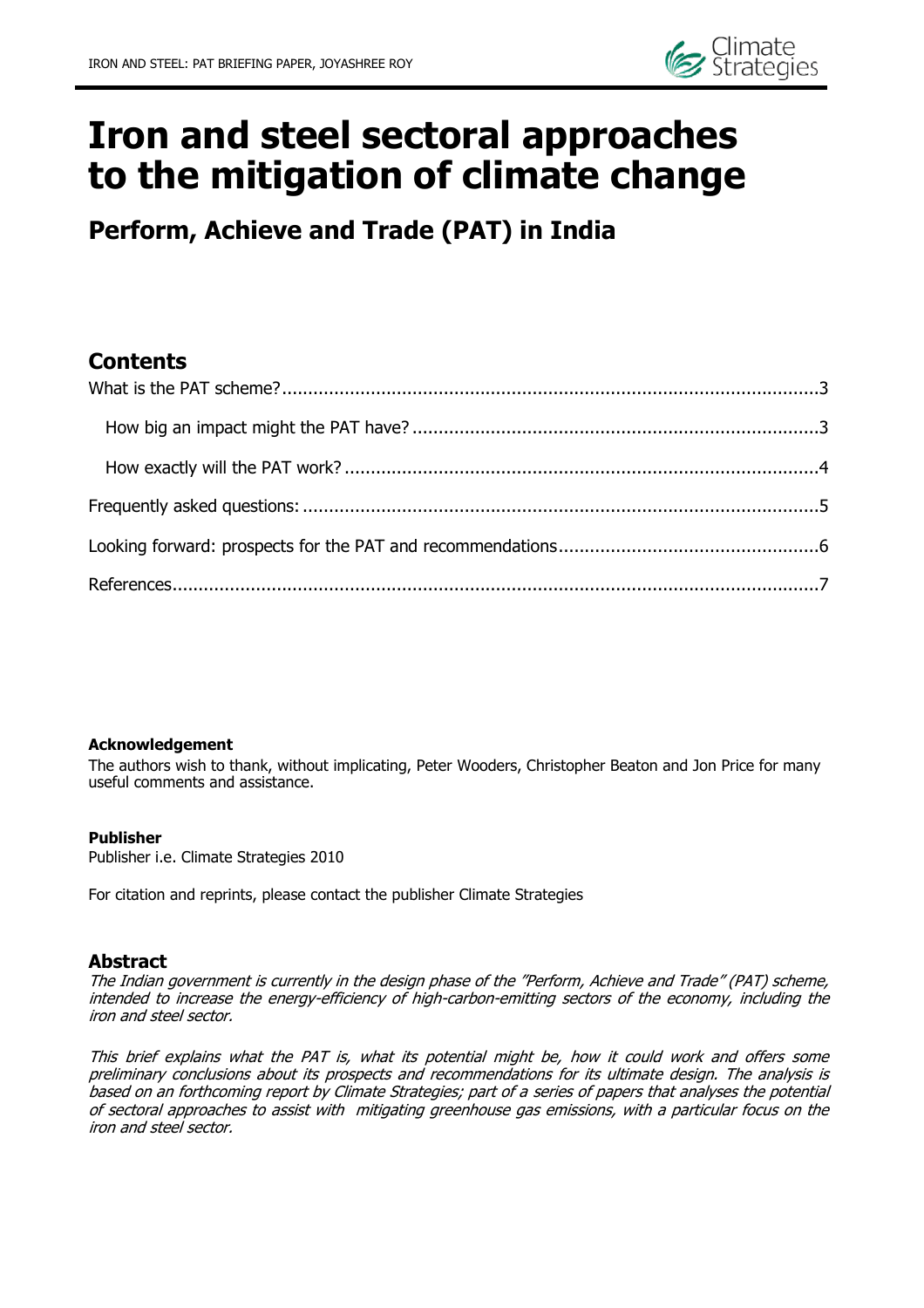

# **Iron and steel sectoral approaches to the mitigation of climate change**

**Perform, Achieve and Trade (PAT) in India**

# **Contents**

### **Acknowledgement**

The authors wish to thank, without implicating, Peter Wooders, Christopher Beaton and Jon Price for many useful comments and assistance.

### **Publisher**

Publisher i.e. Climate Strategies 2010

For citation and reprints, please contact the publisher Climate Strategies

## **Abstract**

The Indian government is currently in the design phase of the "Perform, Achieve and Trade" (PAT) scheme, intended to increase the energy-efficiency of high-carbon-emitting sectors of the economy, including the iron and steel sector.

This brief explains what the PAT is, what its potential might be, how it could work and offers some preliminary conclusions about its prospects and recommendations for its ultimate design. The analysis is based on an forthcoming report by Climate Strategies; part of a series of papers that analyses the potential of sectoral approaches to assist with mitigating greenhouse gas emissions, with a particular focus on the iron and steel sector.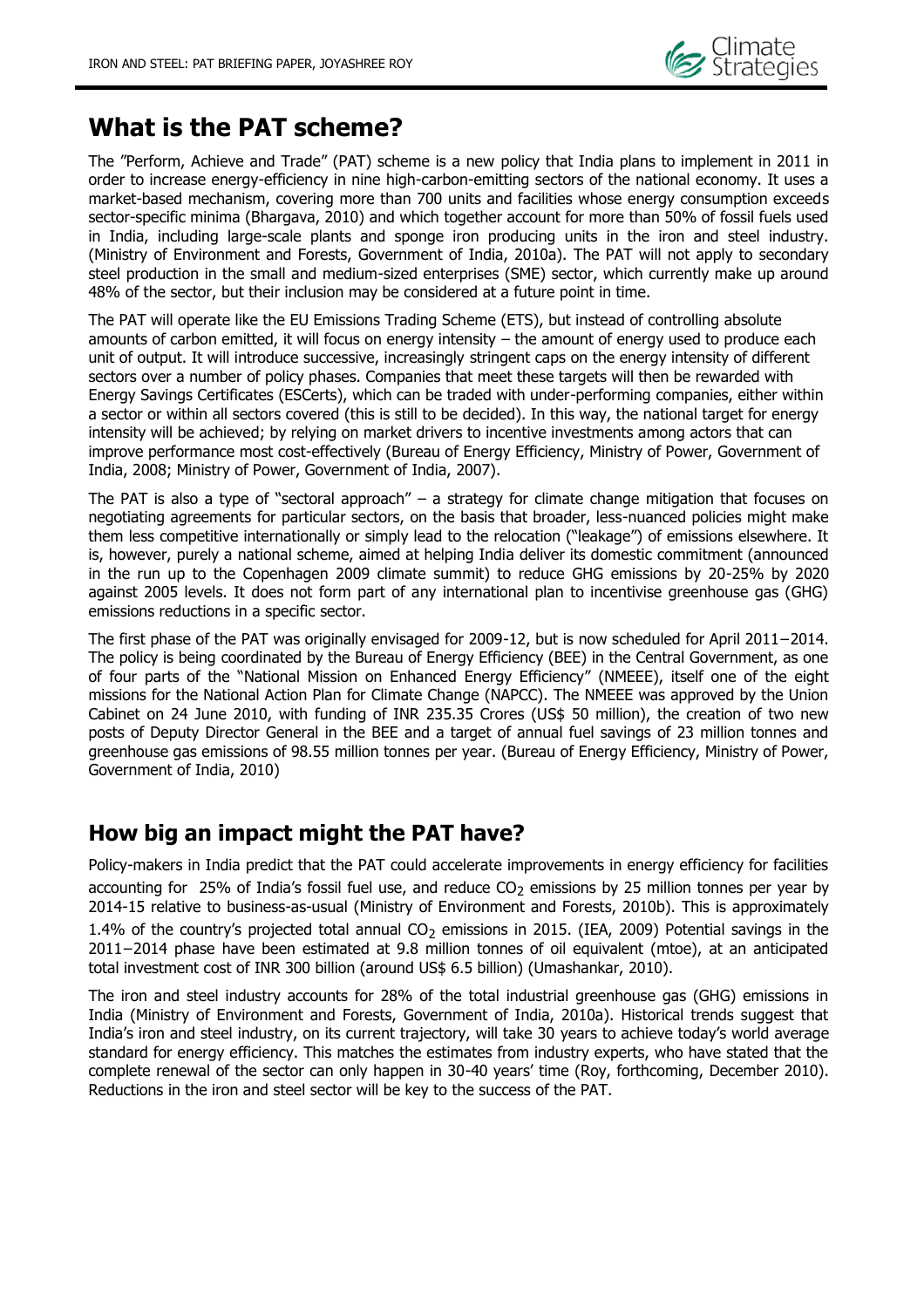

# <span id="page-2-0"></span>**What is the PAT scheme?**

The "Perform, Achieve and Trade" (PAT) scheme is a new policy that India plans to implement in 2011 in order to increase energy-efficiency in nine high-carbon-emitting sectors of the national economy. It uses a market-based mechanism, covering more than 700 units and facilities whose energy consumption exceeds sector-specific minima (Bhargava, 2010) and which together account for more than 50% of fossil fuels used in India, including large-scale plants and sponge iron producing units in the iron and steel industry. (Ministry of Environment and Forests, Government of India, 2010a). The PAT will not apply to secondary steel production in the small and medium-sized enterprises (SME) sector, which currently make up around 48% of the sector, but their inclusion may be considered at a future point in time.

The PAT will operate like the EU Emissions Trading Scheme (ETS), but instead of controlling absolute amounts of carbon emitted, it will focus on energy intensity – the amount of energy used to produce each unit of output. It will introduce successive, increasingly stringent caps on the energy intensity of different sectors over a number of policy phases. Companies that meet these targets will then be rewarded with Energy Savings Certificates (ESCerts), which can be traded with under-performing companies, either within a sector or within all sectors covered (this is still to be decided). In this way, the national target for energy intensity will be achieved; by relying on market drivers to incentive investments among actors that can improve performance most cost-effectively (Bureau of Energy Efficiency, Ministry of Power, Government of India, 2008; Ministry of Power, Government of India, 2007).

The PAT is also a type of "sectoral approach" – a strategy for climate change mitigation that focuses on negotiating agreements for particular sectors, on the basis that broader, less-nuanced policies might make them less competitive internationally or simply lead to the relocation ("leakage") of emissions elsewhere. It is, however, purely a national scheme, aimed at helping India deliver its domestic commitment (announced in the run up to the Copenhagen 2009 climate summit) to reduce GHG emissions by 20-25% by 2020 against 2005 levels. It does not form part of any international plan to incentivise greenhouse gas (GHG) emissions reductions in a specific sector.

The first phase of the PAT was originally envisaged for 2009-12, but is now scheduled for April 2011−2014. The policy is being coordinated by the Bureau of Energy Efficiency (BEE) in the Central Government, as one of four parts of the "National Mission on Enhanced Energy Efficiency" (NMEEE), itself one of the eight missions for the National Action Plan for Climate Change (NAPCC). The NMEEE was approved by the Union Cabinet on 24 June 2010, with funding of INR 235.35 Crores (US\$ 50 million), the creation of two new posts of Deputy Director General in the BEE and a target of annual fuel savings of 23 million tonnes and greenhouse gas emissions of 98.55 million tonnes per year. (Bureau of Energy Efficiency, Ministry of Power, Government of India, 2010)

# <span id="page-2-1"></span>**How big an impact might the PAT have?**

Policy-makers in India predict that the PAT could accelerate improvements in energy efficiency for facilities accounting for 25% of India's fossil fuel use, and reduce  $CO<sub>2</sub>$  emissions by 25 million tonnes per year by 2014-15 relative to business-as-usual (Ministry of Environment and Forests, 2010b). This is approximately 1.4% of the country's projected total annual  $CO<sub>2</sub>$  emissions in 2015. (IEA, 2009) Potential savings in the 2011−2014 phase have been estimated at 9.8 million tonnes of oil equivalent (mtoe), at an anticipated total investment cost of INR 300 billion (around US\$ 6.5 billion) (Umashankar, 2010).

The iron and steel industry accounts for 28% of the total industrial greenhouse gas (GHG) emissions in India (Ministry of Environment and Forests, Government of India, 2010a). Historical trends suggest that India"s iron and steel industry, on its current trajectory, will take 30 years to achieve today"s world average standard for energy efficiency. This matches the estimates from industry experts, who have stated that the complete renewal of the sector can only happen in 30-40 years" time (Roy, forthcoming, December 2010). Reductions in the iron and steel sector will be key to the success of the PAT.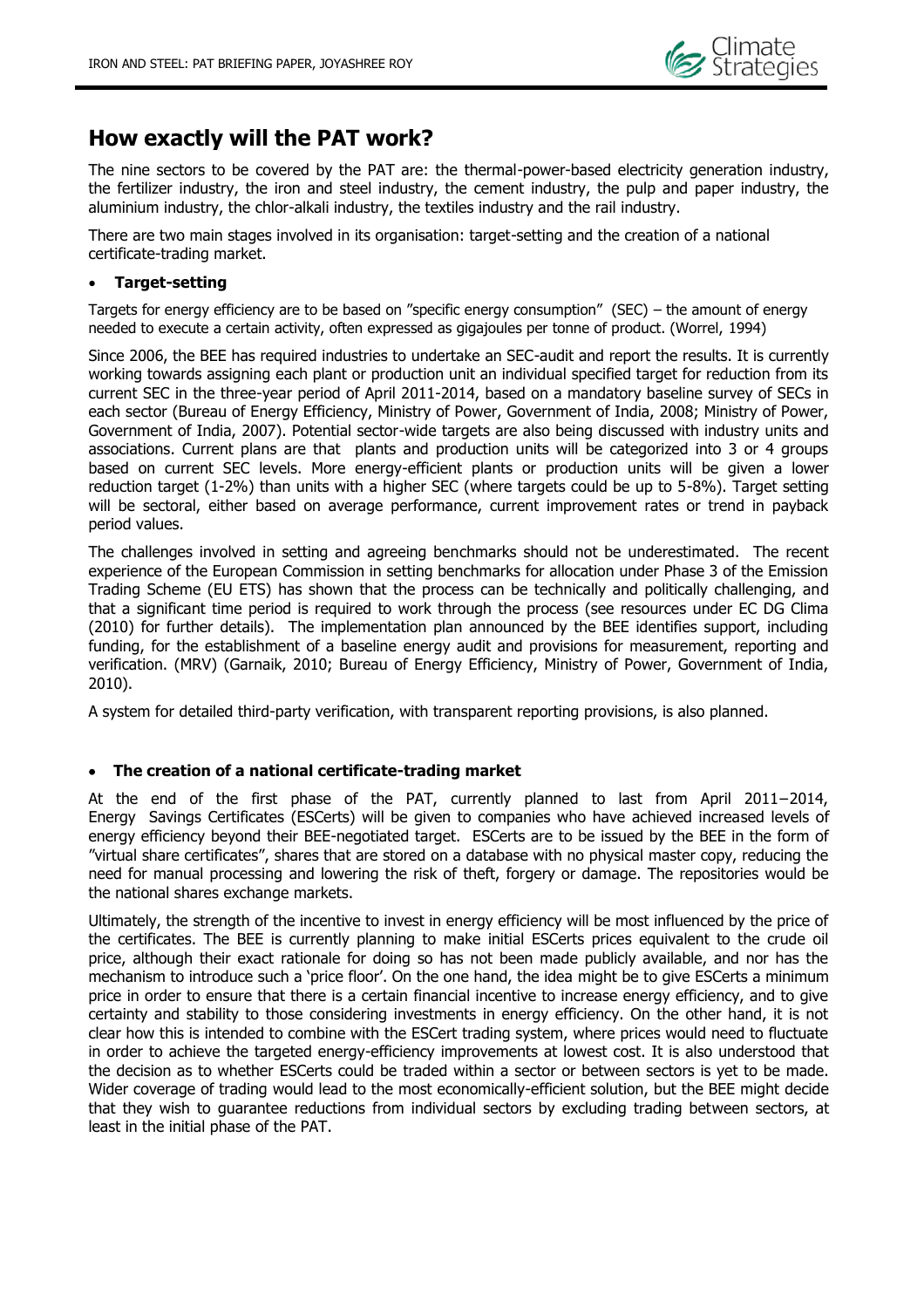# <span id="page-3-0"></span>**How exactly will the PAT work?**

The nine sectors to be covered by the PAT are: the thermal-power-based electricity generation industry, the fertilizer industry, the iron and steel industry, the cement industry, the pulp and paper industry, the aluminium industry, the chlor-alkali industry, the textiles industry and the rail industry.

There are two main stages involved in its organisation: target-setting and the creation of a national certificate-trading market.

### **Target-setting**

Targets for energy efficiency are to be based on "specific energy consumption" (SEC) – the amount of energy needed to execute a certain activity, often expressed as gigajoules per tonne of product. (Worrel, 1994)

Since 2006, the BEE has required industries to undertake an SEC-audit and report the results. It is currently working towards assigning each plant or production unit an individual specified target for reduction from its current SEC in the three-year period of April 2011-2014, based on a mandatory baseline survey of SECs in each sector (Bureau of Energy Efficiency, Ministry of Power, Government of India, 2008; Ministry of Power, Government of India, 2007). Potential sector-wide targets are also being discussed with industry units and associations. Current plans are that plants and production units will be categorized into 3 or 4 groups based on current SEC levels. More energy-efficient plants or production units will be given a lower reduction target (1-2%) than units with a higher SEC (where targets could be up to 5-8%). Target setting will be sectoral, either based on average performance, current improvement rates or trend in payback period values.

The challenges involved in setting and agreeing benchmarks should not be underestimated. The recent experience of the European Commission in setting benchmarks for allocation under Phase 3 of the Emission Trading Scheme (EU ETS) has shown that the process can be technically and politically challenging, and that a significant time period is required to work through the process (see resources under EC DG Clima (2010) for further details). The implementation plan announced by the BEE identifies support, including funding, for the establishment of a baseline energy audit and provisions for measurement, reporting and verification. (MRV) (Garnaik, 2010; Bureau of Energy Efficiency, Ministry of Power, Government of India, 2010).

A system for detailed third-party verification, with transparent reporting provisions, is also planned.

### **The creation of a national certificate-trading market**

At the end of the first phase of the PAT, currently planned to last from April 2011−2014, Energy Savings Certificates (ESCerts) will be given to companies who have achieved increased levels of energy efficiency beyond their BEE-negotiated target. ESCerts are to be issued by the BEE in the form of "virtual share certificates", shares that are stored on a database with no physical master copy, reducing the need for manual processing and lowering the risk of theft, forgery or damage. The repositories would be the national shares exchange markets.

Ultimately, the strength of the incentive to invest in energy efficiency will be most influenced by the price of the certificates. The BEE is currently planning to make initial ESCerts prices equivalent to the crude oil price, although their exact rationale for doing so has not been made publicly available, and nor has the mechanism to introduce such a 'price floor'. On the one hand, the idea might be to give ESCerts a minimum price in order to ensure that there is a certain financial incentive to increase energy efficiency, and to give certainty and stability to those considering investments in energy efficiency. On the other hand, it is not clear how this is intended to combine with the ESCert trading system, where prices would need to fluctuate in order to achieve the targeted energy-efficiency improvements at lowest cost. It is also understood that the decision as to whether ESCerts could be traded within a sector or between sectors is yet to be made. Wider coverage of trading would lead to the most economically-efficient solution, but the BEE might decide that they wish to guarantee reductions from individual sectors by excluding trading between sectors, at least in the initial phase of the PAT.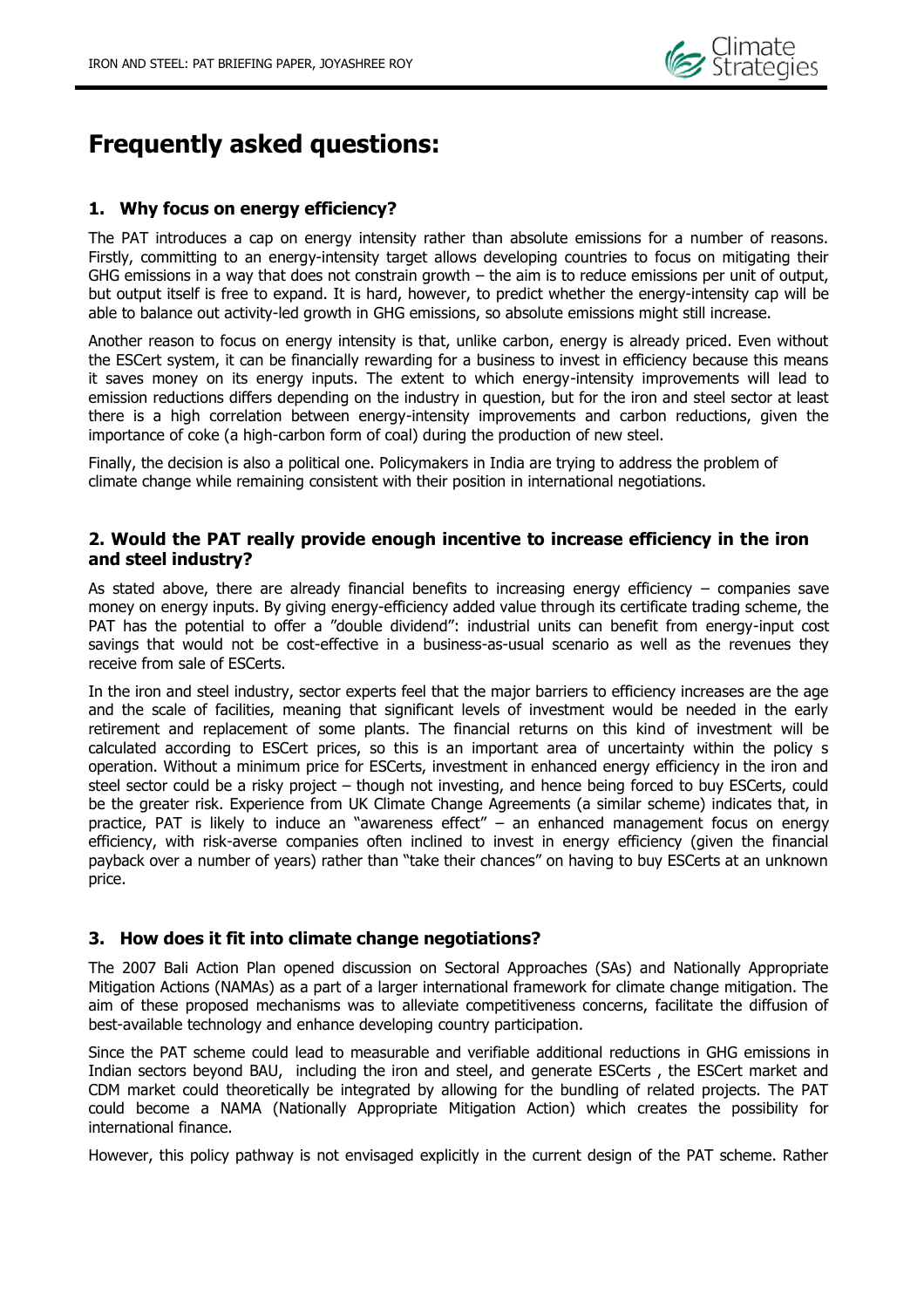

# <span id="page-4-0"></span>**Frequently asked questions:**

## **1. Why focus on energy efficiency?**

The PAT introduces a cap on energy intensity rather than absolute emissions for a number of reasons. Firstly, committing to an energy-intensity target allows developing countries to focus on mitigating their GHG emissions in a way that does not constrain growth – the aim is to reduce emissions per unit of output, but output itself is free to expand. It is hard, however, to predict whether the energy-intensity cap will be able to balance out activity-led growth in GHG emissions, so absolute emissions might still increase.

Another reason to focus on energy intensity is that, unlike carbon, energy is already priced. Even without the ESCert system, it can be financially rewarding for a business to invest in efficiency because this means it saves money on its energy inputs. The extent to which energy-intensity improvements will lead to emission reductions differs depending on the industry in question, but for the iron and steel sector at least there is a high correlation between energy-intensity improvements and carbon reductions, given the importance of coke (a high-carbon form of coal) during the production of new steel.

Finally, the decision is also a political one. Policymakers in India are trying to address the problem of climate change while remaining consistent with their position in international negotiations.

### **2. Would the PAT really provide enough incentive to increase efficiency in the iron and steel industry?**

As stated above, there are already financial benefits to increasing energy efficiency – companies save money on energy inputs. By giving energy-efficiency added value through its certificate trading scheme, the PAT has the potential to offer a "double dividend": industrial units can benefit from energy-input cost savings that would not be cost-effective in a business-as-usual scenario as well as the revenues they receive from sale of ESCerts.

In the iron and steel industry, sector experts feel that the major barriers to efficiency increases are the age and the scale of facilities, meaning that significant levels of investment would be needed in the early retirement and replacement of some plants. The financial returns on this kind of investment will be calculated according to ESCert prices, so this is an important area of uncertainty within the policy s operation. Without a minimum price for ESCerts, investment in enhanced energy efficiency in the iron and steel sector could be a risky project – though not investing, and hence being forced to buy ESCerts, could be the greater risk. Experience from UK Climate Change Agreements (a similar scheme) indicates that, in practice, PAT is likely to induce an "awareness effect" – an enhanced management focus on energy efficiency, with risk-averse companies often inclined to invest in energy efficiency (given the financial payback over a number of years) rather than "take their chances" on having to buy ESCerts at an unknown price.

### **3. How does it fit into climate change negotiations?**

The 2007 Bali Action Plan opened discussion on Sectoral Approaches (SAs) and Nationally Appropriate Mitigation Actions (NAMAs) as a part of a larger international framework for climate change mitigation. The aim of these proposed mechanisms was to alleviate competitiveness concerns, facilitate the diffusion of best-available technology and enhance developing country participation.

Since the PAT scheme could lead to measurable and verifiable additional reductions in GHG emissions in Indian sectors beyond BAU, including the iron and steel, and generate ESCerts , the ESCert market and CDM market could theoretically be integrated by allowing for the bundling of related projects. The PAT could become a NAMA (Nationally Appropriate Mitigation Action) which creates the possibility for international finance.

However, this policy pathway is not envisaged explicitly in the current design of the PAT scheme. Rather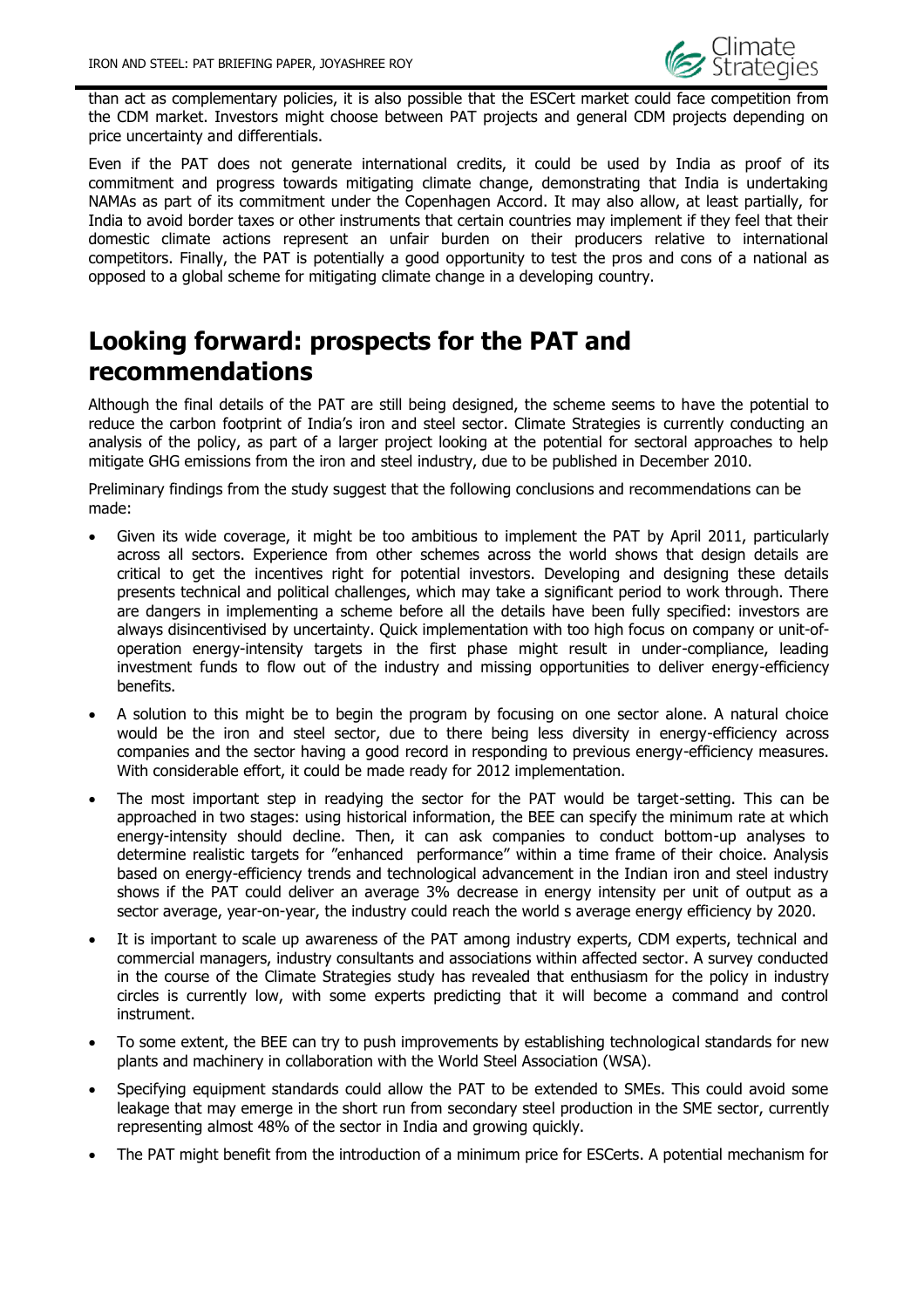

than act as complementary policies, it is also possible that the ESCert market could face competition from the CDM market. Investors might choose between PAT projects and general CDM projects depending on price uncertainty and differentials.

Even if the PAT does not generate international credits, it could be used by India as proof of its commitment and progress towards mitigating climate change, demonstrating that India is undertaking NAMAs as part of its commitment under the Copenhagen Accord. It may also allow, at least partially, for India to avoid border taxes or other instruments that certain countries may implement if they feel that their domestic climate actions represent an unfair burden on their producers relative to international competitors. Finally, the PAT is potentially a good opportunity to test the pros and cons of a national as opposed to a global scheme for mitigating climate change in a developing country.

# <span id="page-5-0"></span>**Looking forward: prospects for the PAT and recommendations**

Although the final details of the PAT are still being designed, the scheme seems to have the potential to reduce the carbon footprint of India"s iron and steel sector. Climate Strategies is currently conducting an analysis of the policy, as part of a larger project looking at the potential for sectoral approaches to help mitigate GHG emissions from the iron and steel industry, due to be published in December 2010.

Preliminary findings from the study suggest that the following conclusions and recommendations can be made:

- Given its wide coverage, it might be too ambitious to implement the PAT by April 2011, particularly across all sectors. Experience from other schemes across the world shows that design details are critical to get the incentives right for potential investors. Developing and designing these details presents technical and political challenges, which may take a significant period to work through. There are dangers in implementing a scheme before all the details have been fully specified: investors are always disincentivised by uncertainty. Quick implementation with too high focus on company or unit-ofoperation energy-intensity targets in the first phase might result in under-compliance, leading investment funds to flow out of the industry and missing opportunities to deliver energy-efficiency benefits.
- A solution to this might be to begin the program by focusing on one sector alone. A natural choice would be the iron and steel sector, due to there being less diversity in energy-efficiency across companies and the sector having a good record in responding to previous energy-efficiency measures. With considerable effort, it could be made ready for 2012 implementation.
- The most important step in readying the sector for the PAT would be target-setting. This can be approached in two stages: using historical information, the BEE can specify the minimum rate at which energy-intensity should decline. Then, it can ask companies to conduct bottom-up analyses to determine realistic targets for "enhanced performance" within a time frame of their choice. Analysis based on energy-efficiency trends and technological advancement in the Indian iron and steel industry shows if the PAT could deliver an average 3% decrease in energy intensity per unit of output as a sector average, year-on-year, the industry could reach the world s average energy efficiency by 2020.
- It is important to scale up awareness of the PAT among industry experts, CDM experts, technical and commercial managers, industry consultants and associations within affected sector. A survey conducted in the course of the Climate Strategies study has revealed that enthusiasm for the policy in industry circles is currently low, with some experts predicting that it will become a command and control instrument.
- To some extent, the BEE can try to push improvements by establishing technological standards for new plants and machinery in collaboration with the World Steel Association (WSA).
- Specifying equipment standards could allow the PAT to be extended to SMEs. This could avoid some leakage that may emerge in the short run from secondary steel production in the SME sector, currently representing almost 48% of the sector in India and growing quickly.
- The PAT might benefit from the introduction of a minimum price for ESCerts. A potential mechanism for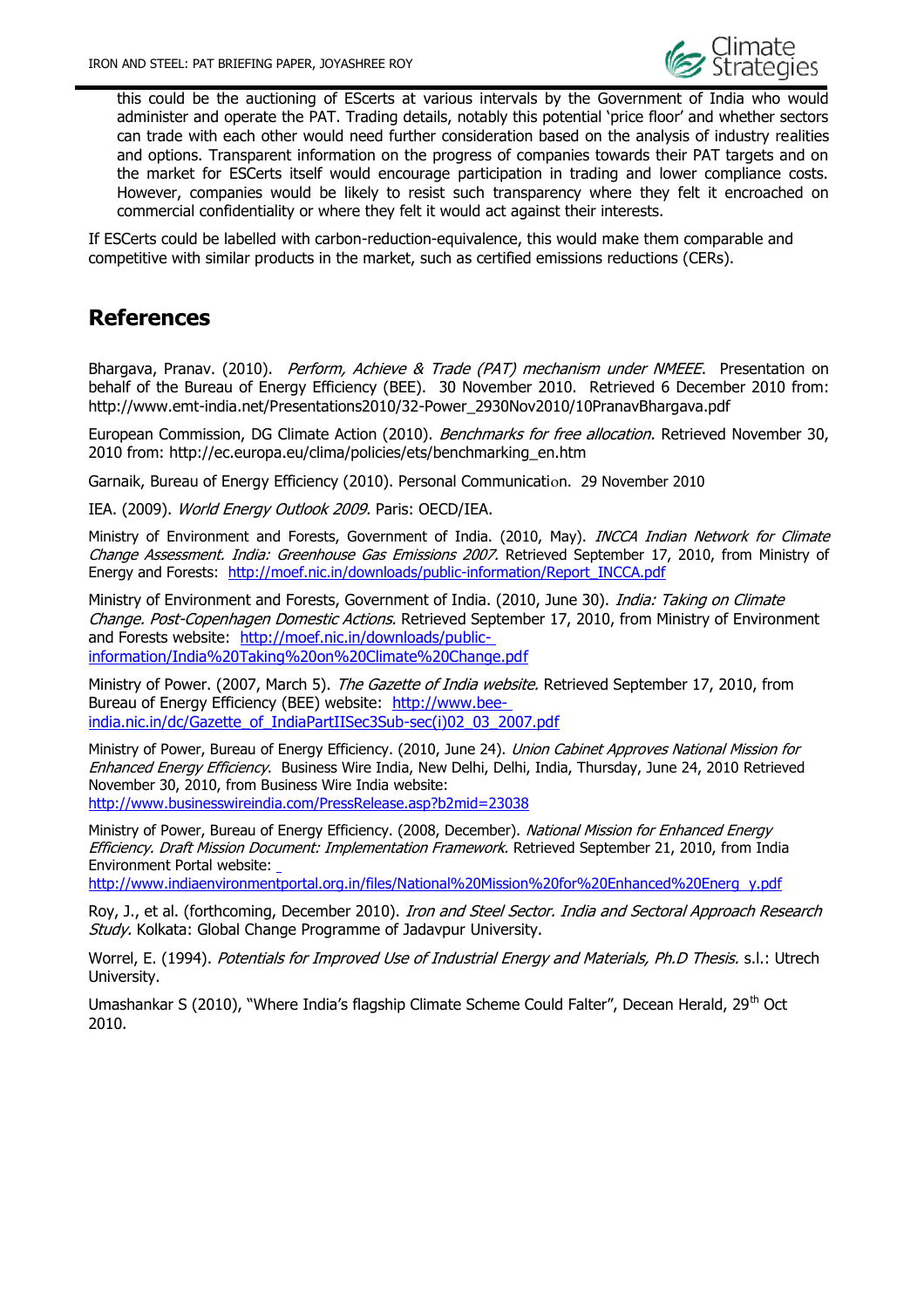

this could be the auctioning of EScerts at various intervals by the Government of India who would administer and operate the PAT. Trading details, notably this potential "price floor" and whether sectors can trade with each other would need further consideration based on the analysis of industry realities and options. Transparent information on the progress of companies towards their PAT targets and on the market for ESCerts itself would encourage participation in trading and lower compliance costs. However, companies would be likely to resist such transparency where they felt it encroached on commercial confidentiality or where they felt it would act against their interests.

If ESCerts could be labelled with carbon-reduction-equivalence, this would make them comparable and competitive with similar products in the market, such as certified emissions reductions (CERs).

# <span id="page-6-0"></span>**References**

Bhargava, Pranav. (2010). Perform, Achieve & Trade (PAT) mechanism under NMEEE. Presentation on behalf of the Bureau of Energy Efficiency (BEE). 30 November 2010. Retrieved 6 December 2010 from: http://www.emt-india.net/Presentations2010/32-Power\_2930Nov2010/10PranavBhargava.pdf

European Commission, DG Climate Action (2010). Benchmarks for free allocation. Retrieved November 30, 2010 from: http://ec.europa.eu/clima/policies/ets/benchmarking\_en.htm

Garnaik, Bureau of Energy Efficiency (2010). Personal Communication. 29 November 2010

IEA. (2009). World Energy Outlook 2009. Paris: OECD/IEA.

Ministry of Environment and Forests, Government of India. (2010, May). INCCA Indian Network for Climate Change Assessment. India: Greenhouse Gas Emissions 2007. Retrieved September 17, 2010, from Ministry of Energy and Forests: [http://moef.nic.in/downloads/public-information/Report\\_INCCA.pdf](http://moef.nic.in/downloads/public-information/Report_INCCA.pdf)

Ministry of Environment and Forests, Government of India. (2010, June 30). India: Taking on Climate Change. Post-Copenhagen Domestic Actions. Retrieved September 17, 2010, from Ministry of Environment and Forests website: [http://moef.nic.in/downloads/public](http://moef.nic.in/downloads/public-information/India%20Taking%20on%20Climate%20Change.pdf)[information/India%20Taking%20on%20Climate%20Change.pdf](http://moef.nic.in/downloads/public-information/India%20Taking%20on%20Climate%20Change.pdf)

Ministry of Power. (2007, March 5). The Gazette of India website. Retrieved September 17, 2010, from Bureau of Energy Efficiency (BEE) website: [http://www.bee](http://www.bee-india.nic.in/dc/Gazette_of_IndiaPartIISec3Sub-sec(i)02_03_2007.pdf)[india.nic.in/dc/Gazette\\_of\\_IndiaPartIISec3Sub-sec\(i\)02\\_03\\_2007.pdf](http://www.bee-india.nic.in/dc/Gazette_of_IndiaPartIISec3Sub-sec(i)02_03_2007.pdf)

Ministry of Power, Bureau of Energy Efficiency. (2010, June 24). Union Cabinet Approves National Mission for Enhanced Energy Efficiency. Business Wire India, New Delhi, Delhi, India, Thursday, June 24, 2010 Retrieved November 30, 2010, from Business Wire India website:

http://www.businesswireindia.com/PressRelease.asp?b2mid=23038

Ministry of Power, Bureau of Energy Efficiency. (2008, December). National Mission for Enhanced Energy Efficiency. Draft Mission Document: Im[p](http://www.indiaenvironmentportal.org.in/files/National%20Mission%20for%20Enhanced%20Energy.pdf)lementation Framework. Retrieved September 21, 2010, from India Environment Portal website:

[http://www.indiaenvironmentportal.org.in/files/National%20Mission%20for%20Enhanced%20Energ y.pdf](http://www.indiaenvironmentportal.org.in/files/National%20Mission%20for%20Enhanced%20Energy.pdf)

Roy, J., et al. (forthcoming, December 2010). *Iron and Steel Sector. India and Sectoral Approach Research* Study. Kolkata: Global Change Programme of Jadavpur University.

Worrel, E. (1994). Potentials for Improved Use of Industrial Energy and Materials, Ph.D Thesis. s.l.: Utrech University.

Umashankar S (2010), "Where India's flagship Climate Scheme Could Falter", Decean Herald, 29<sup>th</sup> Oct 2010.